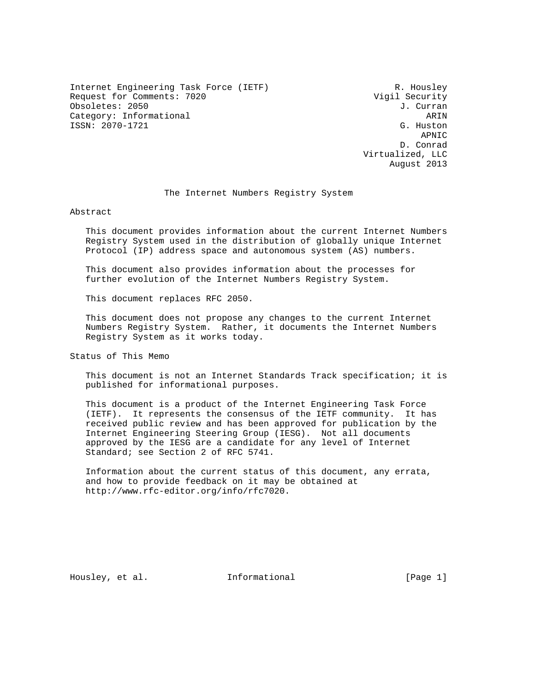Internet Engineering Task Force (IETF) R. Housley Request for Comments: 7020 Vigil Security Obsoletes: 2050 J. Curran Changes and Changes and Changes and Curran Changes and J. Curran J. Curran Category: Informational ARIN ARIN<br>
ISSN: 2070-1721 G. Huston ISSN: 2070-1721

 APNIC D. Conrad Virtualized, LLC August 2013

#### The Internet Numbers Registry System

Abstract

 This document provides information about the current Internet Numbers Registry System used in the distribution of globally unique Internet Protocol (IP) address space and autonomous system (AS) numbers.

 This document also provides information about the processes for further evolution of the Internet Numbers Registry System.

This document replaces RFC 2050.

 This document does not propose any changes to the current Internet Numbers Registry System. Rather, it documents the Internet Numbers Registry System as it works today.

Status of This Memo

 This document is not an Internet Standards Track specification; it is published for informational purposes.

 This document is a product of the Internet Engineering Task Force (IETF). It represents the consensus of the IETF community. It has received public review and has been approved for publication by the Internet Engineering Steering Group (IESG). Not all documents approved by the IESG are a candidate for any level of Internet Standard; see Section 2 of RFC 5741.

 Information about the current status of this document, any errata, and how to provide feedback on it may be obtained at http://www.rfc-editor.org/info/rfc7020.

Housley, et al. 100 Informational [Page 1]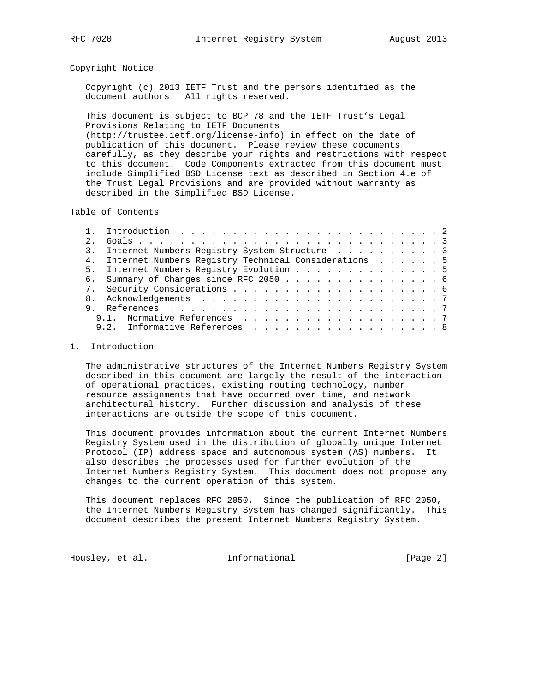# Copyright Notice

 Copyright (c) 2013 IETF Trust and the persons identified as the document authors. All rights reserved.

 This document is subject to BCP 78 and the IETF Trust's Legal Provisions Relating to IETF Documents (http://trustee.ietf.org/license-info) in effect on the date of publication of this document. Please review these documents carefully, as they describe your rights and restrictions with respect to this document. Code Components extracted from this document must include Simplified BSD License text as described in Section 4.e of the Trust Legal Provisions and are provided without warranty as described in the Simplified BSD License.

Table of Contents

| 2.1 |                                                                                            |
|-----|--------------------------------------------------------------------------------------------|
|     | 3. Internet Numbers Registry System Structure 3                                            |
|     | 4. Internet Numbers Registry Technical Considerations 5                                    |
|     | 5. Internet Numbers Registry Evolution 5                                                   |
|     | 6. Summary of Changes since RFC 2050 6                                                     |
|     |                                                                                            |
|     |                                                                                            |
|     |                                                                                            |
|     | 9.1. Normative References 7                                                                |
|     | 9.2. Informative References $\ldots$ $\ldots$ $\ldots$ $\ldots$ $\ldots$ $\ldots$ $\ldots$ |
|     |                                                                                            |

# 1. Introduction

 The administrative structures of the Internet Numbers Registry System described in this document are largely the result of the interaction of operational practices, existing routing technology, number resource assignments that have occurred over time, and network architectural history. Further discussion and analysis of these interactions are outside the scope of this document.

 This document provides information about the current Internet Numbers Registry System used in the distribution of globally unique Internet Protocol (IP) address space and autonomous system (AS) numbers. It also describes the processes used for further evolution of the Internet Numbers Registry System. This document does not propose any changes to the current operation of this system.

 This document replaces RFC 2050. Since the publication of RFC 2050, the Internet Numbers Registry System has changed significantly. This document describes the present Internet Numbers Registry System.

Housley, et al. 1nformational 1999 [Page 2]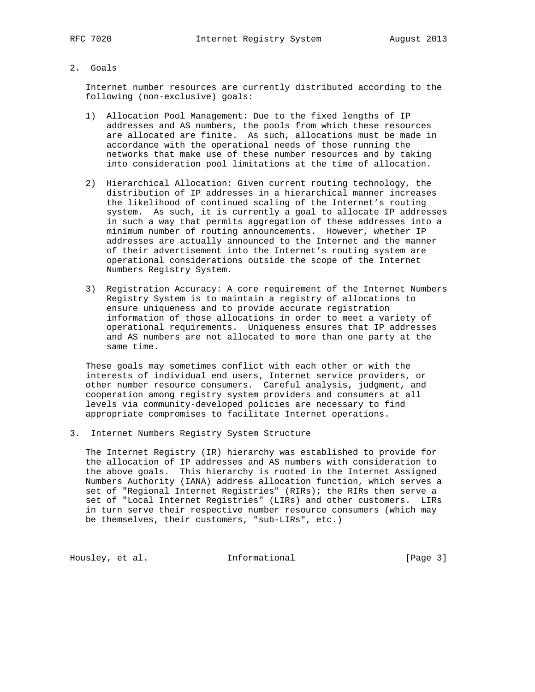# 2. Goals

 Internet number resources are currently distributed according to the following (non-exclusive) goals:

- 1) Allocation Pool Management: Due to the fixed lengths of IP addresses and AS numbers, the pools from which these resources are allocated are finite. As such, allocations must be made in accordance with the operational needs of those running the networks that make use of these number resources and by taking into consideration pool limitations at the time of allocation.
- 2) Hierarchical Allocation: Given current routing technology, the distribution of IP addresses in a hierarchical manner increases the likelihood of continued scaling of the Internet's routing system. As such, it is currently a goal to allocate IP addresses in such a way that permits aggregation of these addresses into a minimum number of routing announcements. However, whether IP addresses are actually announced to the Internet and the manner of their advertisement into the Internet's routing system are operational considerations outside the scope of the Internet Numbers Registry System.
- 3) Registration Accuracy: A core requirement of the Internet Numbers Registry System is to maintain a registry of allocations to ensure uniqueness and to provide accurate registration information of those allocations in order to meet a variety of operational requirements. Uniqueness ensures that IP addresses and AS numbers are not allocated to more than one party at the same time.

 These goals may sometimes conflict with each other or with the interests of individual end users, Internet service providers, or other number resource consumers. Careful analysis, judgment, and cooperation among registry system providers and consumers at all levels via community-developed policies are necessary to find appropriate compromises to facilitate Internet operations.

3. Internet Numbers Registry System Structure

 The Internet Registry (IR) hierarchy was established to provide for the allocation of IP addresses and AS numbers with consideration to the above goals. This hierarchy is rooted in the Internet Assigned Numbers Authority (IANA) address allocation function, which serves a set of "Regional Internet Registries" (RIRs); the RIRs then serve a set of "Local Internet Registries" (LIRs) and other customers. LIRs in turn serve their respective number resource consumers (which may be themselves, their customers, "sub-LIRs", etc.)

Housley, et al. **Informational** [Page 3]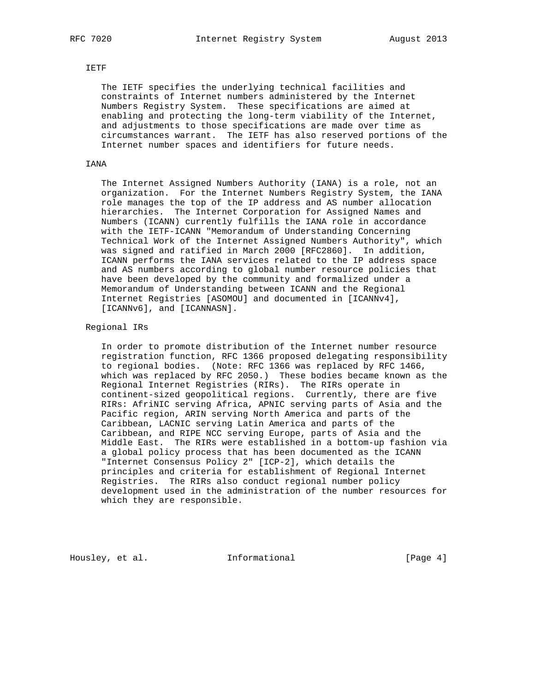## IETF

 The IETF specifies the underlying technical facilities and constraints of Internet numbers administered by the Internet Numbers Registry System. These specifications are aimed at enabling and protecting the long-term viability of the Internet, and adjustments to those specifications are made over time as circumstances warrant. The IETF has also reserved portions of the Internet number spaces and identifiers for future needs.

## IANA

 The Internet Assigned Numbers Authority (IANA) is a role, not an organization. For the Internet Numbers Registry System, the IANA role manages the top of the IP address and AS number allocation hierarchies. The Internet Corporation for Assigned Names and Numbers (ICANN) currently fulfills the IANA role in accordance with the IETF-ICANN "Memorandum of Understanding Concerning Technical Work of the Internet Assigned Numbers Authority", which was signed and ratified in March 2000 [RFC2860]. In addition, ICANN performs the IANA services related to the IP address space and AS numbers according to global number resource policies that have been developed by the community and formalized under a Memorandum of Understanding between ICANN and the Regional Internet Registries [ASOMOU] and documented in [ICANNv4], [ICANNv6], and [ICANNASN].

## Regional IRs

 In order to promote distribution of the Internet number resource registration function, RFC 1366 proposed delegating responsibility to regional bodies. (Note: RFC 1366 was replaced by RFC 1466, which was replaced by RFC 2050.) These bodies became known as the Regional Internet Registries (RIRs). The RIRs operate in continent-sized geopolitical regions. Currently, there are five RIRs: AfriNIC serving Africa, APNIC serving parts of Asia and the Pacific region, ARIN serving North America and parts of the Caribbean, LACNIC serving Latin America and parts of the Caribbean, and RIPE NCC serving Europe, parts of Asia and the Middle East. The RIRs were established in a bottom-up fashion via a global policy process that has been documented as the ICANN "Internet Consensus Policy 2" [ICP-2], which details the principles and criteria for establishment of Regional Internet Registries. The RIRs also conduct regional number policy development used in the administration of the number resources for which they are responsible.

Housley, et al. **Informational** [Page 4]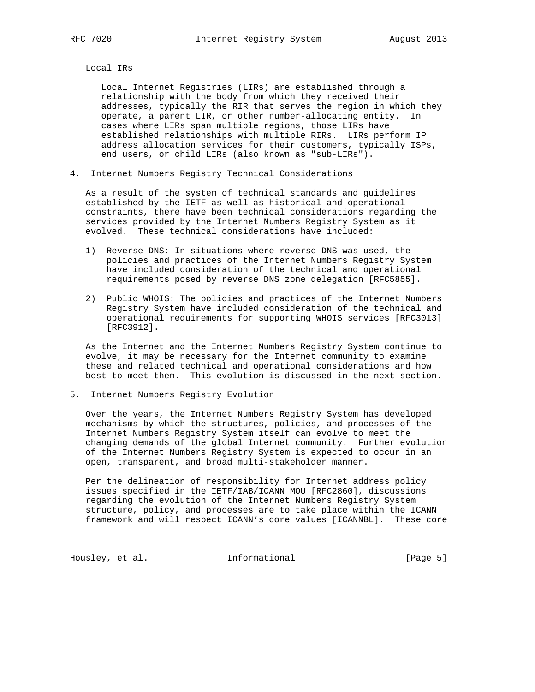Local IRs

 Local Internet Registries (LIRs) are established through a relationship with the body from which they received their addresses, typically the RIR that serves the region in which they operate, a parent LIR, or other number-allocating entity. In cases where LIRs span multiple regions, those LIRs have established relationships with multiple RIRs. LIRs perform IP address allocation services for their customers, typically ISPs, end users, or child LIRs (also known as "sub-LIRs").

4. Internet Numbers Registry Technical Considerations

 As a result of the system of technical standards and guidelines established by the IETF as well as historical and operational constraints, there have been technical considerations regarding the services provided by the Internet Numbers Registry System as it evolved. These technical considerations have included:

- 1) Reverse DNS: In situations where reverse DNS was used, the policies and practices of the Internet Numbers Registry System have included consideration of the technical and operational requirements posed by reverse DNS zone delegation [RFC5855].
- 2) Public WHOIS: The policies and practices of the Internet Numbers Registry System have included consideration of the technical and operational requirements for supporting WHOIS services [RFC3013] [RFC3912].

 As the Internet and the Internet Numbers Registry System continue to evolve, it may be necessary for the Internet community to examine these and related technical and operational considerations and how best to meet them. This evolution is discussed in the next section.

5. Internet Numbers Registry Evolution

 Over the years, the Internet Numbers Registry System has developed mechanisms by which the structures, policies, and processes of the Internet Numbers Registry System itself can evolve to meet the changing demands of the global Internet community. Further evolution of the Internet Numbers Registry System is expected to occur in an open, transparent, and broad multi-stakeholder manner.

 Per the delineation of responsibility for Internet address policy issues specified in the IETF/IAB/ICANN MOU [RFC2860], discussions regarding the evolution of the Internet Numbers Registry System structure, policy, and processes are to take place within the ICANN framework and will respect ICANN's core values [ICANNBL]. These core

Housley, et al. 1nformational 1999 [Page 5]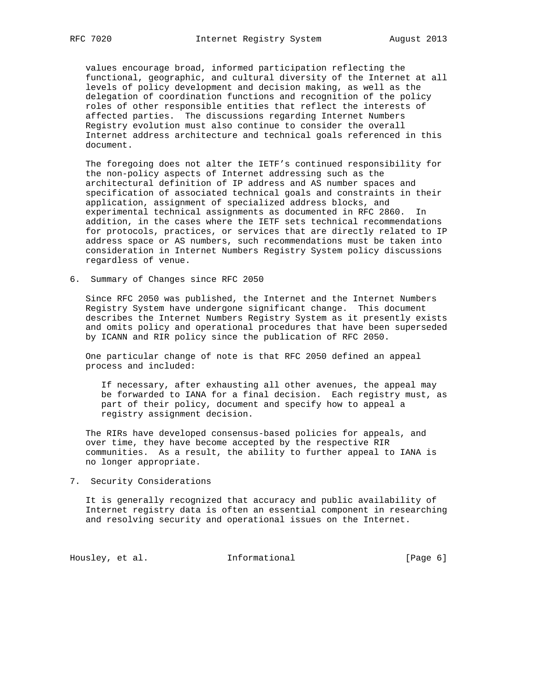values encourage broad, informed participation reflecting the functional, geographic, and cultural diversity of the Internet at all levels of policy development and decision making, as well as the delegation of coordination functions and recognition of the policy roles of other responsible entities that reflect the interests of affected parties. The discussions regarding Internet Numbers Registry evolution must also continue to consider the overall Internet address architecture and technical goals referenced in this document.

 The foregoing does not alter the IETF's continued responsibility for the non-policy aspects of Internet addressing such as the architectural definition of IP address and AS number spaces and specification of associated technical goals and constraints in their application, assignment of specialized address blocks, and experimental technical assignments as documented in RFC 2860. In addition, in the cases where the IETF sets technical recommendations for protocols, practices, or services that are directly related to IP address space or AS numbers, such recommendations must be taken into consideration in Internet Numbers Registry System policy discussions regardless of venue.

6. Summary of Changes since RFC 2050

 Since RFC 2050 was published, the Internet and the Internet Numbers Registry System have undergone significant change. This document describes the Internet Numbers Registry System as it presently exists and omits policy and operational procedures that have been superseded by ICANN and RIR policy since the publication of RFC 2050.

 One particular change of note is that RFC 2050 defined an appeal process and included:

 If necessary, after exhausting all other avenues, the appeal may be forwarded to IANA for a final decision. Each registry must, as part of their policy, document and specify how to appeal a registry assignment decision.

 The RIRs have developed consensus-based policies for appeals, and over time, they have become accepted by the respective RIR communities. As a result, the ability to further appeal to IANA is no longer appropriate.

7. Security Considerations

 It is generally recognized that accuracy and public availability of Internet registry data is often an essential component in researching and resolving security and operational issues on the Internet.

Housley, et al. 1nformational 1999 [Page 6]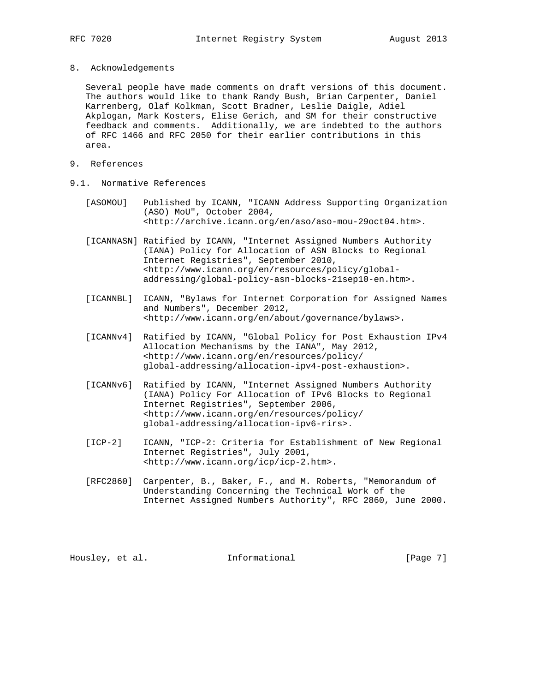8. Acknowledgements

 Several people have made comments on draft versions of this document. The authors would like to thank Randy Bush, Brian Carpenter, Daniel Karrenberg, Olaf Kolkman, Scott Bradner, Leslie Daigle, Adiel Akplogan, Mark Kosters, Elise Gerich, and SM for their constructive feedback and comments. Additionally, we are indebted to the authors of RFC 1466 and RFC 2050 for their earlier contributions in this area.

- 9. References
- 9.1. Normative References
	- [ASOMOU] Published by ICANN, "ICANN Address Supporting Organization (ASO) MoU", October 2004, <http://archive.icann.org/en/aso/aso-mou-29oct04.htm>.
	- [ICANNASN] Ratified by ICANN, "Internet Assigned Numbers Authority (IANA) Policy for Allocation of ASN Blocks to Regional Internet Registries", September 2010, <http://www.icann.org/en/resources/policy/global addressing/global-policy-asn-blocks-21sep10-en.htm>.
	- [ICANNBL] ICANN, "Bylaws for Internet Corporation for Assigned Names and Numbers", December 2012, <http://www.icann.org/en/about/governance/bylaws>.
	- [ICANNv4] Ratified by ICANN, "Global Policy for Post Exhaustion IPv4 Allocation Mechanisms by the IANA", May 2012, <http://www.icann.org/en/resources/policy/ global-addressing/allocation-ipv4-post-exhaustion>.
	- [ICANNv6] Ratified by ICANN, "Internet Assigned Numbers Authority (IANA) Policy For Allocation of IPv6 Blocks to Regional Internet Registries", September 2006, <http://www.icann.org/en/resources/policy/ global-addressing/allocation-ipv6-rirs>.
	- [ICP-2] ICANN, "ICP-2: Criteria for Establishment of New Regional Internet Registries", July 2001, <http://www.icann.org/icp/icp-2.htm>.
	- [RFC2860] Carpenter, B., Baker, F., and M. Roberts, "Memorandum of Understanding Concerning the Technical Work of the Internet Assigned Numbers Authority", RFC 2860, June 2000.

Housley, et al. 1nformational 1999 [Page 7]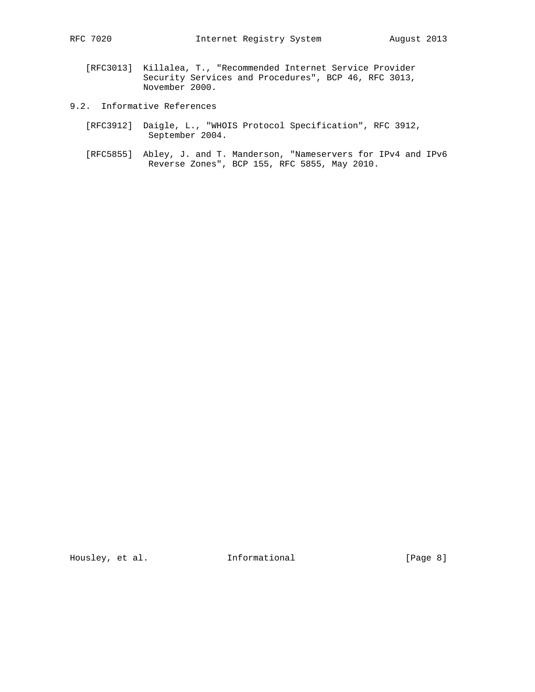- [RFC3013] Killalea, T., "Recommended Internet Service Provider Security Services and Procedures", BCP 46, RFC 3013, November 2000.
- 9.2. Informative References
	- [RFC3912] Daigle, L., "WHOIS Protocol Specification", RFC 3912, September 2004.
	- [RFC5855] Abley, J. and T. Manderson, "Nameservers for IPv4 and IPv6 Reverse Zones", BCP 155, RFC 5855, May 2010.